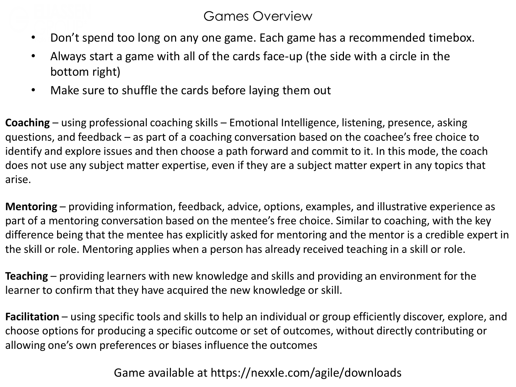#### Games Overview

- Don't spend too long on any one game. Each game has a recommended timebox.
- Always start a game with all of the cards face-up (the side with a circle in the bottom right)
- Make sure to shuffle the cards before laying them out

**Coaching** – using professional coaching skills – Emotional Intelligence, listening, presence, asking questions, and feedback – as part of a coaching conversation based on the coachee's free choice to identify and explore issues and then choose a path forward and commit to it. In this mode, the coach does not use any subject matter expertise, even if they are a subject matter expert in any topics that arise.

**Mentoring** – providing information, feedback, advice, options, examples, and illustrative experience as part of a mentoring conversation based on the mentee's free choice. Similar to coaching, with the key difference being that the mentee has explicitly asked for mentoring and the mentor is a credible expert in the skill or role. Mentoring applies when a person has already received teaching in a skill or role.

**Teaching** – providing learners with new knowledge and skills and providing an environment for the learner to confirm that they have acquired the new knowledge or skill.

**Facilitation** – using specific tools and skills to help an individual or group efficiently discover, explore, and choose options for producing a specific outcome or set of outcomes, without directly contributing or allowing one's own preferences or biases influence the outcomes

Game available at https://nexxle.com/agile/downloads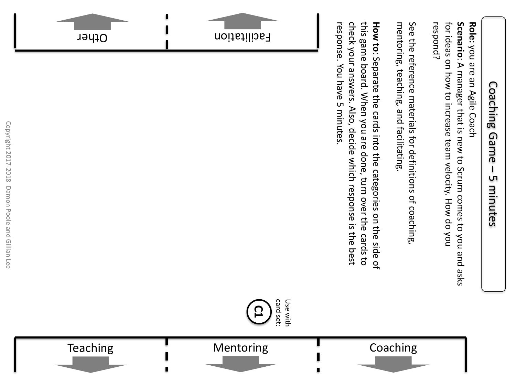### Coaching Game Coaching Game – **ι** 5 minutes minutes

for ideas on how to increase team velocity. How do you Scenario: A manager that is new to Scrum comes to you and asks respond? for ideas on how to increase team velocity. How do you **ScenarioRole:** you are an Agile Coach you are an Agile Coach : A manager that is new to Scrum comes to you and asks

See the reference materials for definitions of coaching, mentoring, teaching, and facilitating mentoring, teaching, and facilitating. See the reference materials for definitions of coaching,

check your answers. Also, decide which response is the best this game board. When you are done, turn over the cards to **How to:** Separate the cards into the categories on the side of response. You have 5 minutes. response. You have 5 minutes. check your answers. Also, this game board. When you are done, turn over the cards to : Separate the cards into the categories on the side of decide which response is the best









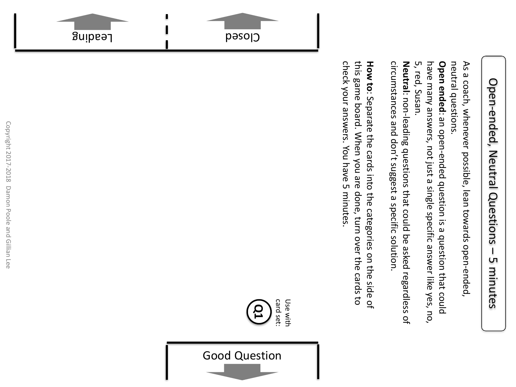## Open-ended, Open-ended, Neutral Questions Neutral Questions  $\overline{\phantom{a}}$ LΠ 5 minutes minutes

neutral questions As a coach, whenever possible, lean towards open-ended, neutral questions. As a coach, whenever possible, lean towards open-ended,

5, red, Susan. have many answers, not just a single specific answer like yes, no, **Open ended:** an open-ended question is a question that could 5, red, Susan. have many answers, not just a single specific answer like yes, no, **Open ended** : an open-ended question is a question that could

circumstances and don't suggest a specific solution. **Neutral**: non-leading questions that could be asked regardless of circumstances and don't suggest a specific solution. : non-leading questions that could be asked regardless of

siu<sub>s</sub> check your answers. You have 5 minutes check your answers. this game board. When you are done, turn over the cards to **How**  game board. When you are **to**: Separate the cards into the categories on the side of You have 5 minutes. done, turn over the cards to



card set: Use with Use with <u>႙</u>

Good Question